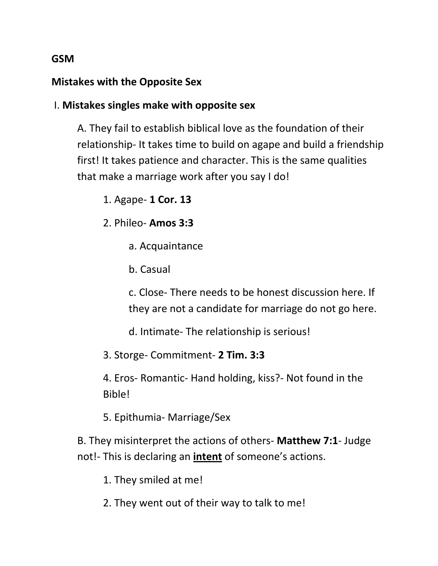## **GSM**

## **Mistakes with the Opposite Sex**

I. **Mistakes singles make with opposite sex**

A. They fail to establish biblical love as the foundation of their relationship- It takes time to build on agape and build a friendship first! It takes patience and character. This is the same qualities that make a marriage work after you say I do!

1. Agape- **1 Cor. 13**

2. Phileo- **Amos 3:3**

- a. Acquaintance
- b. Casual

c. Close- There needs to be honest discussion here. If they are not a candidate for marriage do not go here.

d. Intimate- The relationship is serious!

3. Storge- Commitment- **2 Tim. 3:3**

4. Eros- Romantic- Hand holding, kiss?- Not found in the Bible!

5. Epithumia- Marriage/Sex

B. They misinterpret the actions of others- **Matthew 7:1**- Judge not!- This is declaring an **intent** of someone's actions.

1. They smiled at me!

2. They went out of their way to talk to me!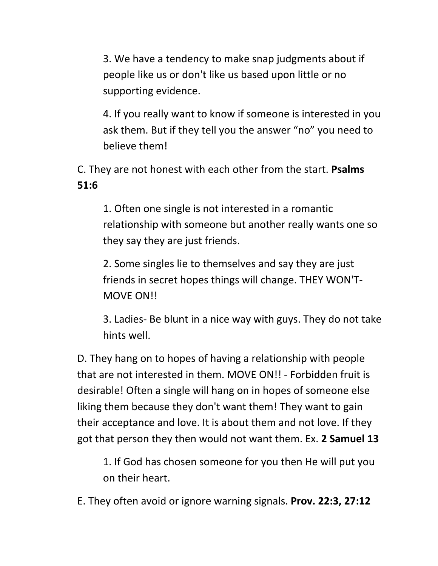3. We have a tendency to make snap judgments about if people like us or don't like us based upon little or no supporting evidence.

4. If you really want to know if someone is interested in you ask them. But if they tell you the answer "no" you need to believe them!

C. They are not honest with each other from the start. **Psalms 51:6**

1. Often one single is not interested in a romantic relationship with someone but another really wants one so they say they are just friends.

2. Some singles lie to themselves and say they are just friends in secret hopes things will change. THEY WON'T-MOVE ON!!

3. Ladies- Be blunt in a nice way with guys. They do not take hints well.

D. They hang on to hopes of having a relationship with people that are not interested in them. MOVE ON!! - Forbidden fruit is desirable! Often a single will hang on in hopes of someone else liking them because they don't want them! They want to gain their acceptance and love. It is about them and not love. If they got that person they then would not want them. Ex. **2 Samuel 13**

1. If God has chosen someone for you then He will put you on their heart.

E. They often avoid or ignore warning signals. **Prov. 22:3, 27:12**